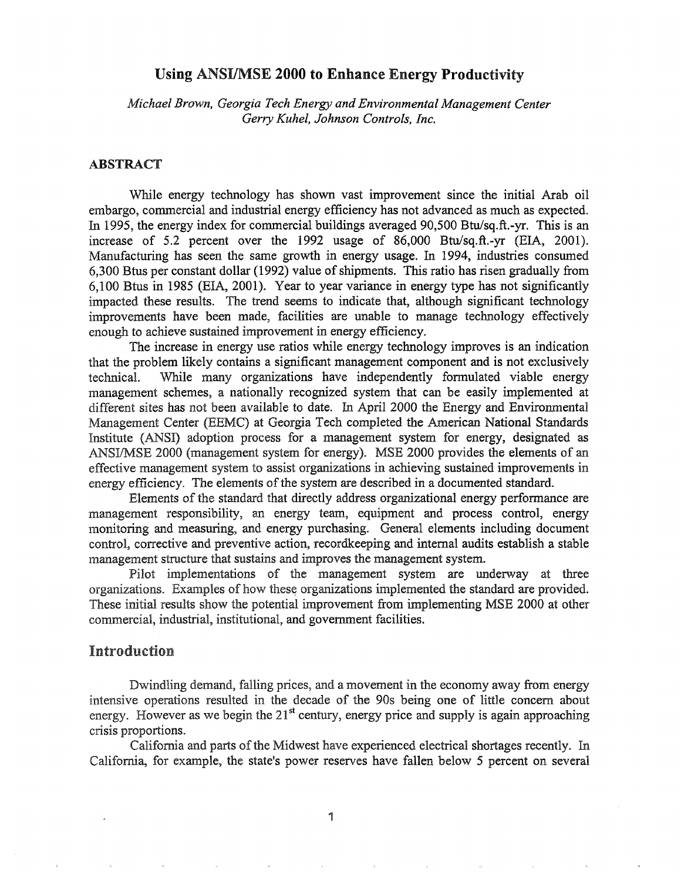# Using ANSIIMSE 2000 to Enhance Energy Productivity

*Michael Brown, Georgia Tech Energy and Environmental Management Center Gerry Kuhel, Johnson Controls, Inc.*

## ABSTRACT

While energy technology has shown vast improvement since the initial Arab oil embargo, commercial and industrial energy efficiency has not advanced as much as expected. In 1995, the energy index for commercial buildings averaged 90,500 Btu/sq.ft.-yr. This is an increase of 5.2 percent over the 1992 usage of 86,000 Btu/sq.ft.-yr (EIA, 2001). Manufacturing has seen the same growth in energy usage. In 1994, industries consumed 6,300 Btus per constant dollar (1992) value of shipments. This ratio has risen gradually from 6,100 Btus in 1985 (EIA, 2001). Year to year variance in energy type has not significantly impacted these results. The trend'seems to indicate that, although significant technology improvements have been made, facilities are unable to manage technology effectively enough to achieve sustained improvement in energy efficiency.

The increase in energy use ratios while energy technology improves is an indication that the problem likely contains a significant management component and is not exclusively technical. While many organizations have independently fonnulated viable energy management schemes, a nationally recognized system that can be easily implemented at different sites has not been available to date. In April 2000 the Energy and Environmental Management Center (EEMC) at Georgia Tech completed the American National Standards Institute (ANSI) adoption process fora management system for energy, designated as ANSI/MSE 2000 (management system for energy). MSE 2000 provides the elements of an effective management system to assist organizations in achieving sustained improvements in energy efficiency. The elements of the system are described in a documented standard.

Elements of the standard that directly address organizational energy performance are management responsibility, an energy team, equipment and process control, energy monitoring and measuring, and energy purchasing. General elements including document control, corrective and preventive action, recordkeeping and internal audits establish a stable management structure that sustains and improves the management system.

Pilot implementations of the management system are undenvay at three organizations. Examples of how these organizations implemented the standard are provided. These initial results show the potential improvement from implementing MSE 2000 at other commercial, industrial, institutional, and government facilities.

# Introduction

Dwindling demand, falling prices, and a movement in the economy away from energy intensive operations resulted in the decade of the 90s being one of little concern about energy. However as we begin the  $21<sup>st</sup>$  century, energy price and supply is again approaching crisis proportions.

California and parts of the Midwest have experienced electrical shortages recently. In California, for example, the state's power reserves have fallen below 5 percent on several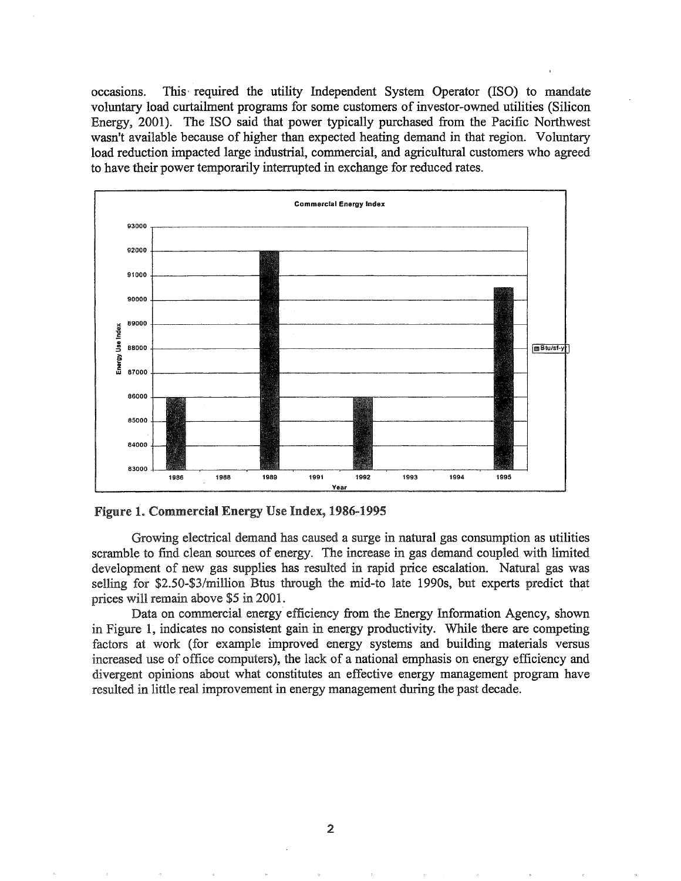occasions.. This' required the utility Independent System Operator (ISO) to mandate voluntary load curtailment programs for some customers ofinvestor-owned utilities (Silicon Energy, 2001). The ISO said that power typically purchased from the Pacific Northwest wasn't available because of higher than expected heating demand in that region.. Voluntary load reduction impacted large industrial, commercial, and agricultural customers who agreed to have their power temporarily interrupted in exchange for reduced rates.



Figure 1. Commercial Energy Use Index, 1986-1995

Growing electrical demand has caused a surge in natural gas consumption as utilities scramble to find clean sources of energy. The increase in gas demand coupled with limited development of new gas supplies has resulted in rapid price escalation. Natural gas was selling for \$2.50-\$3/million Btus through the mid-to late 1990s, but experts predict that prices will remain above \$5 in 2001.

Data on commercial energy efficiency from the Energy Information Agency, shown in Figure 1, indicates no consistent gain in energy productivity. While there are competing factors at. work (for example improved energy systems and building materials versus increased use of office computers), the lack of a national emphasis on energy efficiency and divergent opinions about what constitutes an effective energy management program have resulted in little real improvement in energy management during the past decade.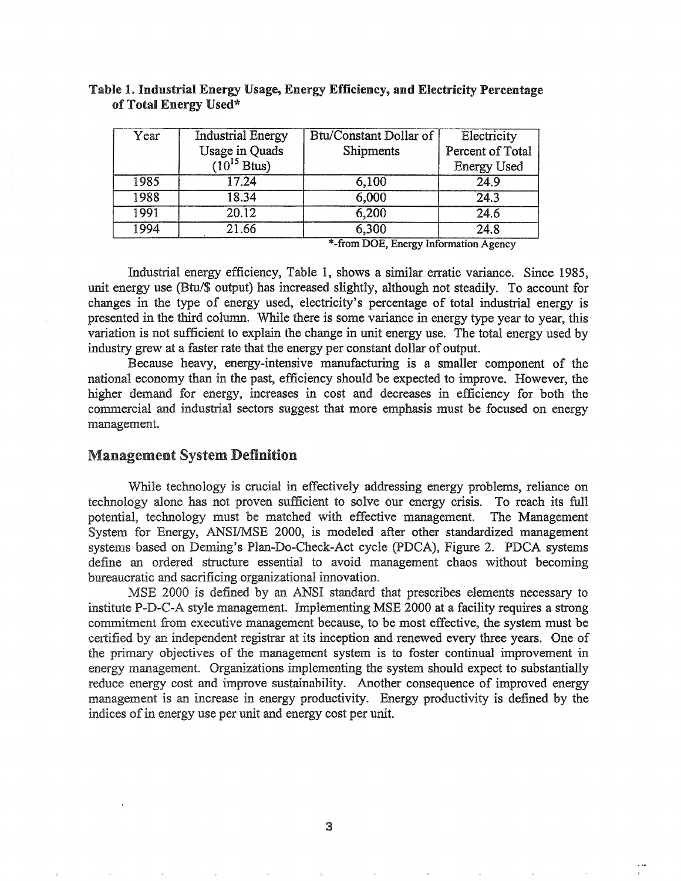| Year | <b>Industrial Energy</b> | Btu/Constant Dollar of | Electricity        |
|------|--------------------------|------------------------|--------------------|
|      | <b>Usage in Quads</b>    | Shipments              | Percent of Total   |
|      | $(10^{15}$ Btus)         |                        | <b>Energy Used</b> |
| 1985 | 17.24                    | 6,100                  | 24.9               |
| 1988 | 18.34                    | 6,000                  | 24.3               |
| 1991 | 20.12                    | 6,200                  | 24.6               |
| 1994 | 21.66                    | 6,300                  | 24.8               |

## Table I. Industrial Energy Usage, Energy Efficiency, and Electricity Percentage of Total Energy Used\*

\*-from DOE, Energy Information Agency

Industrial energy efficiency, Table 1, shows a similar erratic variance. Since 1985, unit energy use (Btu/\$ output) has increased slightly, although not steadily. To account for changes in the type of energy used, electricity's percentage of total industrial energy is presented in the third column. While there is some variance in energy type year to year, this variation is not sufficient to explain the change in unit energy use. The total energy used by industry grew at a faster rate that the energy per constant dollar of output.

Because heavy, energy-intensive manufacturing is a smaller component of the national economy than in the past, efficiency should be expected to improve. However, the higher demand for energy, increases in cost and decreases in efficiency for both the commercial and industrial sectors suggest that more emphasis must be focused on energy management.

## Management System Definition

While technology is crucial in effectively addressing energy problems, reliance on technology alone has not proven sufficient to solve our energy crisis. To reach its full potential, technology must be matched with effective management. The Management System for Energy, ANSI/MSE 2000, is modeled after other standardized management systems based on Deming's Plan-Do-Check-Act cycle (PDCA), Figure 2. PDCA systems define an ordered structure essential to avoid management chaos without becoming bureaucratic and sacrificing organizational innovation..

MSE 2000 is defined by an ANSI standard that prescribes elements necessary to institute P-D-C-A style management. Implementing MSE 2000 at a facility requires a strong commitment from executive management because, to be most effective, the system must be certified by an independent registrar at its inception and renewed every three years. One of the primary objectives of the management system is to foster continual improvement in energy management. Organizations implementing the system should expect to substantially reduce energy cost and improve sustainability. Another consequence of improved energy management is an increase in energy productivity. Energy productivity is defined by the indices of in energy use per unit and energy cost per unit.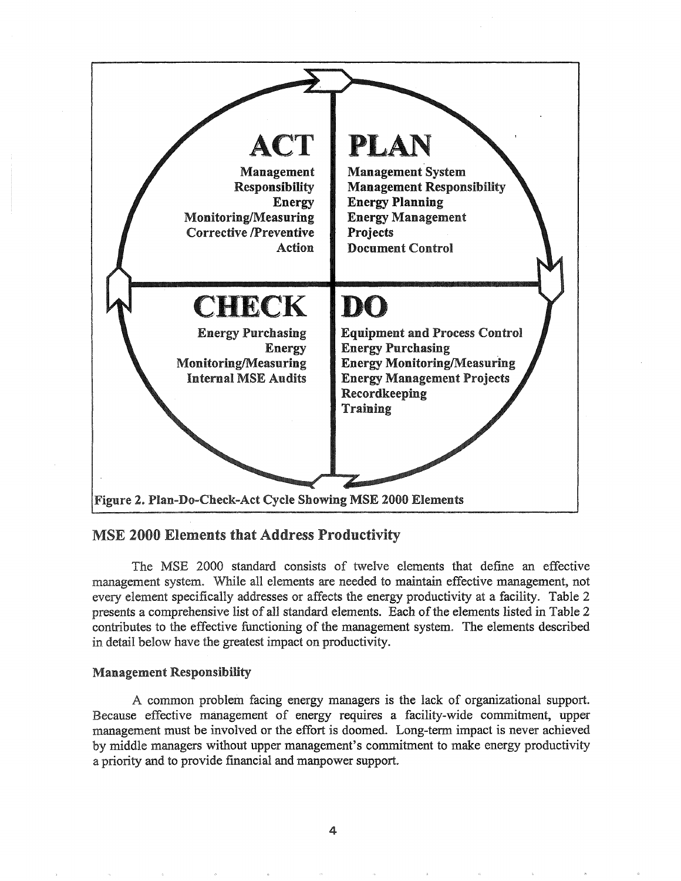

# MSE 2000 Elements that Address Productivity

The MSE 2000 standard consists of twelve elements that define an effective management system.. While all elements are needed to maintain effective management, not every element specifically addresses or affects the energy productivity at a facility.. Table 2 presents a comprehensive list of all standard elements. Each of the elements listed in Table 2 contributes to the effective functioning of the management system. The elements described in detail below have the greatest impact on productivity.

## Management Responsibility

A common problem facing energy managers is the lack of organizational support. Because effective management of energy requires a facility-wide commitment, upper management must be involved or the effort is doomed.. Long-term impact is never achieved by middle managers without upper management's commitment to make energy productivity a priority and to provide financial and manpower support.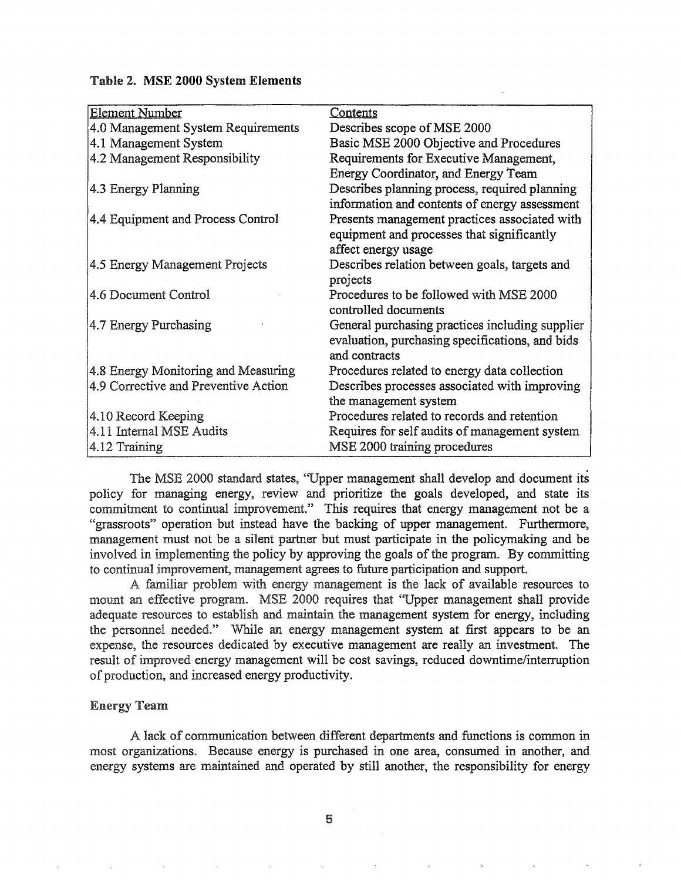| <b>Element Number</b>                | Contents                                        |  |
|--------------------------------------|-------------------------------------------------|--|
| 4.0 Management System Requirements   | Describes scope of MSE 2000                     |  |
| 4.1 Management System                | Basic MSE 2000 Objective and Procedures         |  |
| 4.2 Management Responsibility        | Requirements for Executive Management,          |  |
|                                      | Energy Coordinator, and Energy Team             |  |
| 4.3 Energy Planning                  | Describes planning process, required planning   |  |
|                                      | information and contents of energy assessment   |  |
| 4.4 Equipment and Process Control    | Presents management practices associated with   |  |
|                                      | equipment and processes that significantly      |  |
|                                      | affect energy usage                             |  |
| 4.5 Energy Management Projects       | Describes relation between goals, targets and   |  |
|                                      | projects                                        |  |
| 4.6 Document Control                 | Procedures to be followed with MSE 2000         |  |
|                                      | controlled documents                            |  |
| 4.7 Energy Purchasing                | General purchasing practices including supplier |  |
|                                      | evaluation, purchasing specifications, and bids |  |
|                                      | and contracts                                   |  |
| 4.8 Energy Monitoring and Measuring  | Procedures related to energy data collection    |  |
| 4.9 Corrective and Preventive Action | Describes processes associated with improving   |  |
|                                      | the management system                           |  |
| 4.10 Record Keeping                  | Procedures related to records and retention     |  |
| 4.11 Internal MSE Audits             | Requires for self audits of management system   |  |
| 4.12 Training                        | MSE 2000 training procedures                    |  |

#### Table 2. MSE 2000 System Elements

The MSE 2000 standard states, "Upper management shall develop and document its policy for managing energy, review and prioritize the goals developed, and state its commitment to continual improvement." This requires that energy management not be a "grassroots" operation but instead have the backing of upper management. Furthermore, management must not be a silent partner but must participate in the policymaking and be involved in implementing the policy by approving the goals of the program. By committing to continual improvement, management agrees to future participation and support.

A familiar problem with energy management is the lack of available resources to mount an effective program. MSE 2000 requires that "Upper management shall provide adequate resources to establish and maintain the management system for energy, including the personnel needed." While an energy management system at first appears to be an expense, the resources dedicated by executive management are really an investment. The result of improved energy management will be cost savings, reduced downtime/interruption of production, and increased energy productivity.

#### **Energy Team**

A lack of communication between different departments and functions is common in most organizations. Because energy is purchased in one area, consumed in another, and energy systems are maintained and operated by still another, the responsibility for energy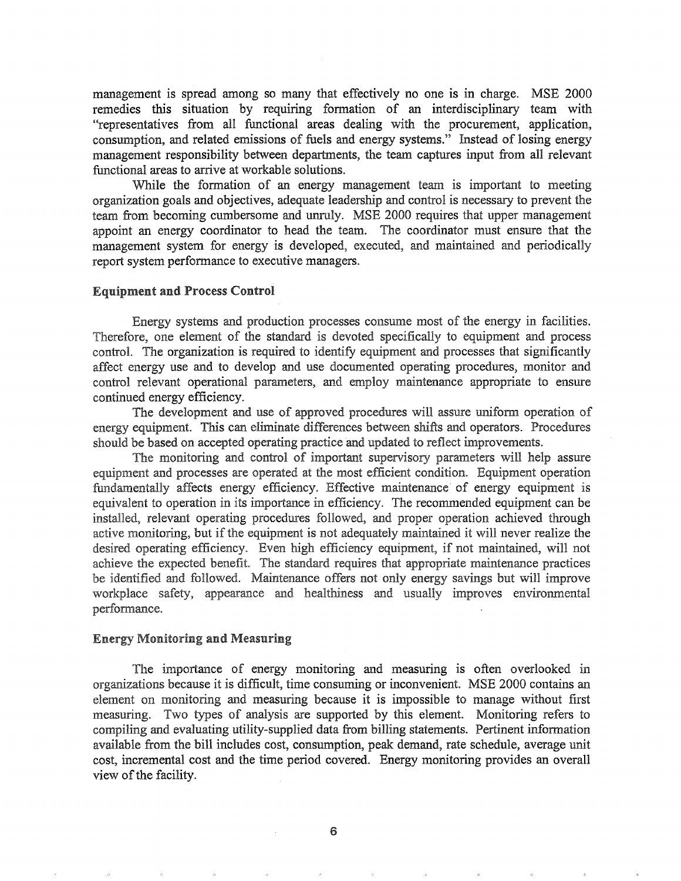management is spread among so many that effectively no one is in charge. MSE 2000 remedies this situation by requiring formation of an interdisciplinary team with "representatives from all functional areas dealing with the procurement, application, consumption, and related emissions of fuels and energy systems." Instead of losing energy management responsibility between departments, the team captures input from all relevant functional areas to arrive at workable solutions.

While the formation of an energy management team is important to meeting organization goals and objectives, adequate leadership and control is necessary to prevent the team from becoming cumbersome and unruly. MSE 2000 requires that upper management appoint an energy coordinator to head the team. The coordinator must ensure that the management system for energy is developed, executed, and maintained and periodically report system performance to executive managers..

#### Equipment and Process Control

Energy systems and production processes consume most of the energy in facilities. Therefore, one element of the standard is devoted specifically to equipment and process control. The organization is required to identify equipment and processes that significantly affect energy use and to develop and use documented operating procedures, monitor and control relevant operational parameters, and employ maintenance appropriate to ensure continued energy efficiency.

The development and use of approved procedures will assure uniform operation of energy equipment. This can eliminate differences between shifts and operators. Procedures should be based on accepted operating practice and updated to reflect improvements.

The monitoring and control of important supervisory parameters will help assure equipment and processes are operated at the most efficient condition. Equipment operation fundamentally affects energy efficiency. Effective maintenance of energy equipment is equivalent to operation in its importance in efficiency. The recommended equipment can be installed, relevant operating procedures followed, and proper operation achieved through active monitoring, but if the equipment is not adequately maintained it will never realize the desired operating efficiency. Even high efficiency equipment, if not maintained, will not achieve the expected benefit. The standard requires that appropriate maintenance practices be identified and followed. Maintenance offers not only energy savings but will improve workplace safety, appearance and healthiness and usually improves environmental performance.

## **Energy Monitoring and Measuring**

The importance of energy monitoring and measuring is often overlooked in organizations because it is difficult, time consuming or inconvenient. MSE 2000 contains an element on monitoring and measuring because it is impossible to manage without first measuring. Two types of analysis are supported by this element. Monitoring refers to compiling and evaluating utility-supplied data from billing statements. Pertinent information available from the bill includes cost, consumption, peak demand, rate schedule, average unit cost, incremental cost and the time period covered. Energy monitoring provides an overall view of the facility.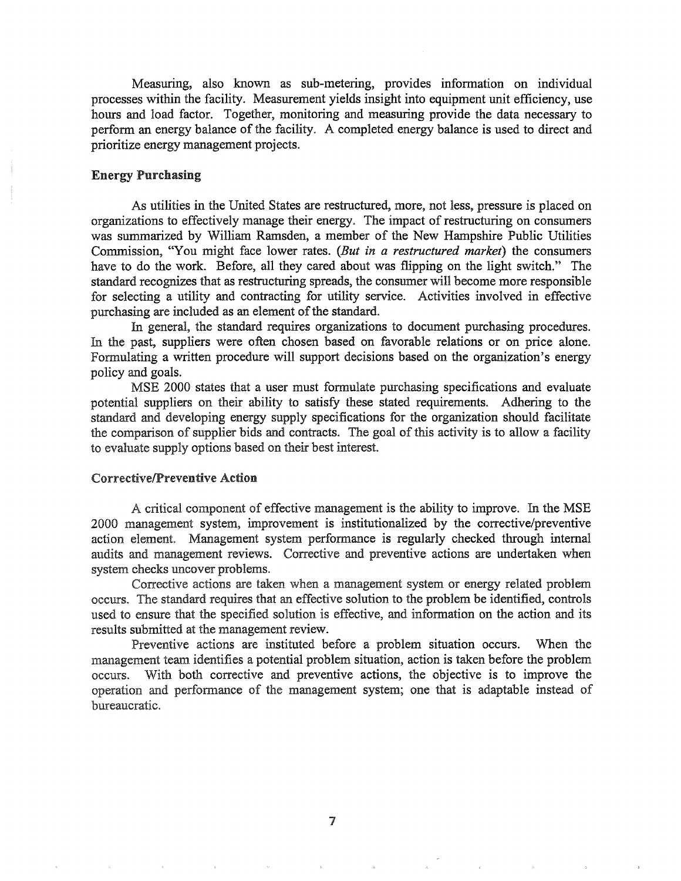Measuring, also known as sub-metering, provides information on individual processes within the facility. Measurement yields insight into equipment unit efficiency, use hours and load factor. Together, monitoring and measuring provide the data necessary to perform an energy balance of the facility. A completed energy balance is used to direct and prioritize energy management projects.

## Energy Purchasing

As utilities in the United States are restructured, more, not less, pressure is placed on organizations to effectively manage their energy. The impact of restructuring on consumers was summarized by William Ramsden, a member of the New Hampshire Public Utilities Commission, "You might face lower rates. (But in a restructured market) the consumers have to do the work. Before, all they cared about was flipping on the light switch." The standard recognizes that as restructuring spreads, the consumer will become more responsible for selecting a utility and contracting for utility service. Activities involved in effective purchasing are included as an element of the standard.

In general, the standard requires organizations to document purchasing procedures. In the past, suppliers were often chosen based on favorable relations or on price alone. Formulating a written procedure will support decisions based on the organization's energy policy and goals.

MSE 2000 states that a user must fonnulate purchasing specifications and evaluate potential suppliers on their ability to satisfy these stated requirements. Adhering to the standard and developing energy supply specifications for the organization should facilitate the comparison of supplier bids and contracts. The goal of this activity is to allow a facility to evaluate supply options based on their best interest.

## CorrectivelPreventive Action

A critical component of effective management is the ability to improve. In the MSE 2000 management system, improvement is institutionalized by the corrective/preventive action element. Management system performance is regularly checked through internal audits and management reviews. Corrective and preventive actions are undertaken when system checks uncover problems..

Corrective actions are taken when a management system or energy related problem occurs" The standard requires that an effective solution to the problem be identified, controls used to ensure that the specified solution is effective, and information on the action and its results submitted at the management review.

Preventive actions are instituted before a problem situation occurs. When the management team identifies a potential problem situation, action is taken before the problem occurs. With both corrective and preventive actions, the objective is to improve the operation and performance of the management system; one that is adaptable instead of bureaucratic.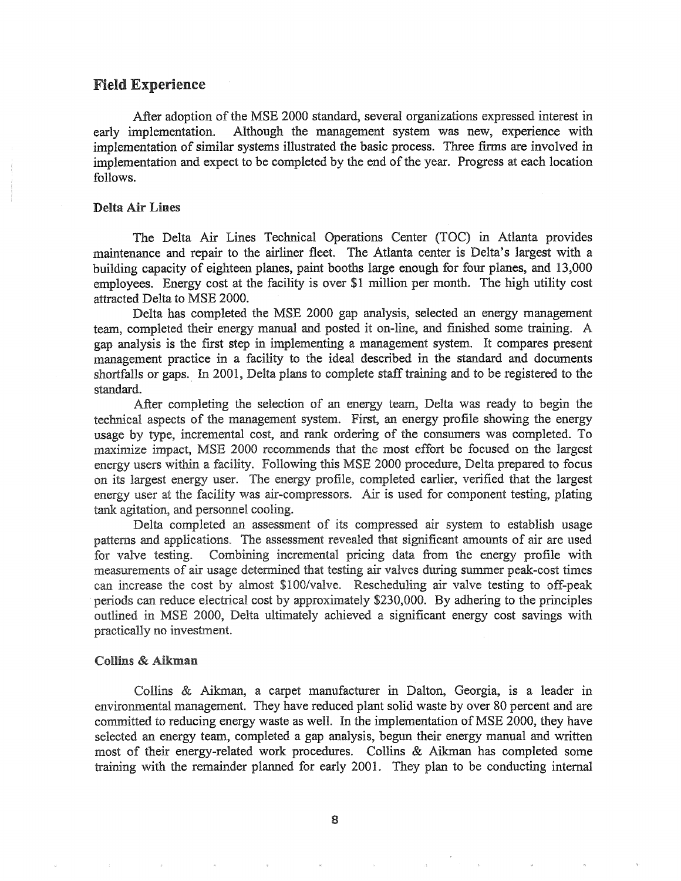## Field Experience

After adoption of the MSE 2000 standard, several organizations expressed interest in early implementation. Although the management system was new, experience with implementation of similar systems illustrated the basic process. Three firms are involved in implementation and expect to be completed by the end of the year. Progress at each location follows.

#### Delta Air Lines

The Delta Air Lines Technical Operations Center (TOC) in Atlanta provides maintenance and repair to the airliner fleet. The Atlanta center is Delta's largest with a building capacity of eighteen planes, paint booths large enough for four planes, and 13,000 employees. Energy cost at the facility is over \$1 million per month. The high utility cost attracted Delta to MSE 2000.

Delta has completed the MSE 2000 gap analysis, selected an energy management team, completed their energy manual and posted it on-line, and finished some training. A gap analysis is the first step in implementing a management system. It compares present management practice in a facility to the ideal described in the standard and documents shortfalls or gaps. In 2001, Delta plans to complete staff training and to be registered to the standard.

After completing the selection of an energy team, Delta was ready to begin the technical aspects of the management system. First, an energy profile showing the energy usage by type, incremental cost, and rank ordering of the consumers was completed.. To maximize impact, MSE 2000 recommends that the most effort be focused on the largest energy users within a facility. Following this MSE 2000 procedure, Delta prepared to focus on its largest energy user. The energy profile, completed earlier, verified that the largest energy user at the facility was air-compressors. Air is used for component testing, plating tank agitation, and personnel cooling.

Delta completed an assessment of its compressed air system to establish usage patterns and applications. The assessment revealed that significant amounts of air are used for valve testing. Combining incremental pricing data from the energy profile with measurements of air usage determined that testing air valves during summer peak-cost times can increase the cost by almost \$100/valve. Rescheduling air valve testing to off-peak periods can reduce electrical cost by approximately \$230,000. By adhering to the principles outlined in MSE 2000, Delta ultimately achieved a significant energy cost savings with practically no investment.

#### Collins & Aikman

Collins & Aikman, a carpet manufacturer in Dalton, Georgia, is a leader in environmental management. They have reduced plant solid waste by over 80 percent and are committed to reducing energy waste as well. In the implementation of MSE 2000, they have selected an energy team, completed a gap analysis, begun their energy manual and written most of their energy-related work procedures. Collins & Aikman has completed some training with the remainder planned for early 2001. They plan to be conducting internal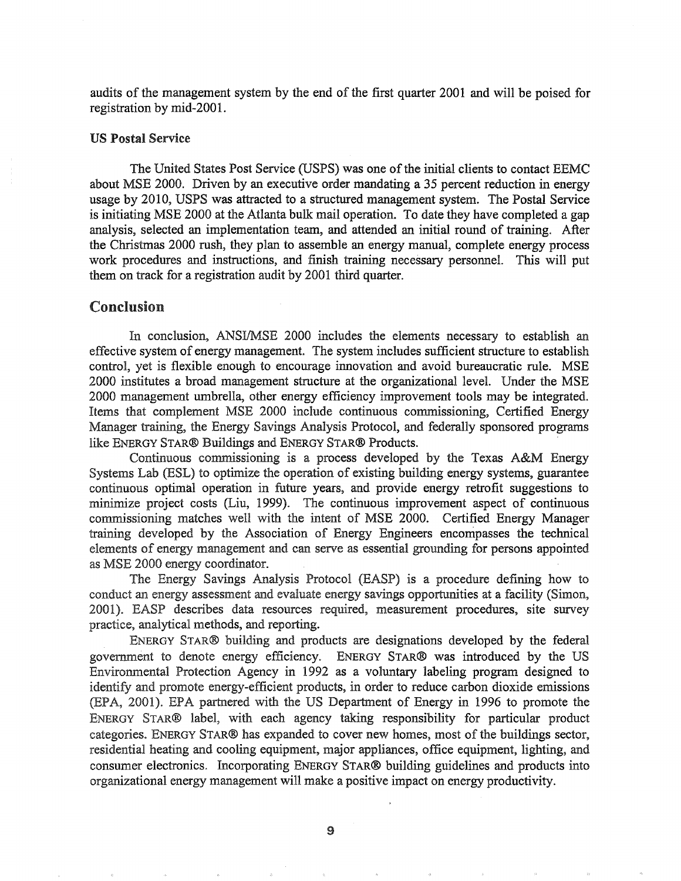audits of the management system by the end of the first quarter 2001 and will be poised for registration by mid-200l.

#### US Postal Service

The United States Post Service (USPS) was one of the initial clients to contact EEMC about MSE 2000. Driven by an executive order mandating a 35 percent reduction in energy usage by 2010, USPS was attracted to a structured management system. The Postal Service is initiating MSE 2000 at the Atlanta bulk mail operation. To date they have completed a gap analysis, selected an implementation team, and attended an initial round of training. After the Christmas 2000 rush, they plan to assemble an energy manual, complete energy process work procedures and instructions, and finish training necessary personnel. This will put them on track for a registration audit by 2001 third quarter.

# Conclusion

In conclusion, ANSI/MSE 2000 includes the elements necessary to establish an effective system of energy management. The system includes sufficient structure to establish control, yet is flexible enough to encourage innovation and avoid bureaucratic rule. MSE 2000 institutes a broad management structure at the organizational level. Under the MSE 2000 management umbrella, other energy efficiency improvement tools may be integrated. Items that complement MSE 2000 include continuous commissioning, Certified Energy Manager training, the Energy Savings Analysis Protocol, and federally sponsored programs like ENERGY STAR® Buildings and ENERGY STAR® Products. .

Continuous commissioning is a process developed by the Texas A&M Energy Systems Lab (ESL) to optimize the operation of existing building energy systems, guarantee continuous optimal operation in future years, and provide energy retrofit suggestions to minimize project costs (Liu, 1999). The continuous improvement aspect of continuous commissioning matches well with the intent of MSE 2000. Certified Energy Manager training developed by the Association of Energy Engineers encompasses the technical elements of energy management and can serve as essential grounding for persons appointed as MSE 2000 energy coordinator.

The Energy Savings Analysis Protocol (EASP) is a procedure defining how to conduct an energy assessment and evaluate energy savings opportunities at a facility (Simon, 2001). EASP describes data resources required, measurement procedures, site survey practice, analytical methods, and reporting.

ENERGY STAR® building and products are designations developed by the federal government to denote energy efficiency~ ENERGY STAR® was introduced by the US Environmental Protection Agency in 1992 as a voluntary labeling program designed to identify and promote energy-efficient products, in order to reduce carbon dioxide emissions (EPA, 2001). EPA partnered with the US Department of Energy in 1996 to promote the ENERGY STAR® label, with each agency taking responsibility for particular product categories. ENERGY STAR® has expanded to cover new homes, most of the buildings sector, residential heating and cooling equipment, major appliances, office equipment, lighting, and consumer electronics. Incorporating ENERGY STAR® building guidelines and products into organizational energy management will make a positive impact on energy productivity.